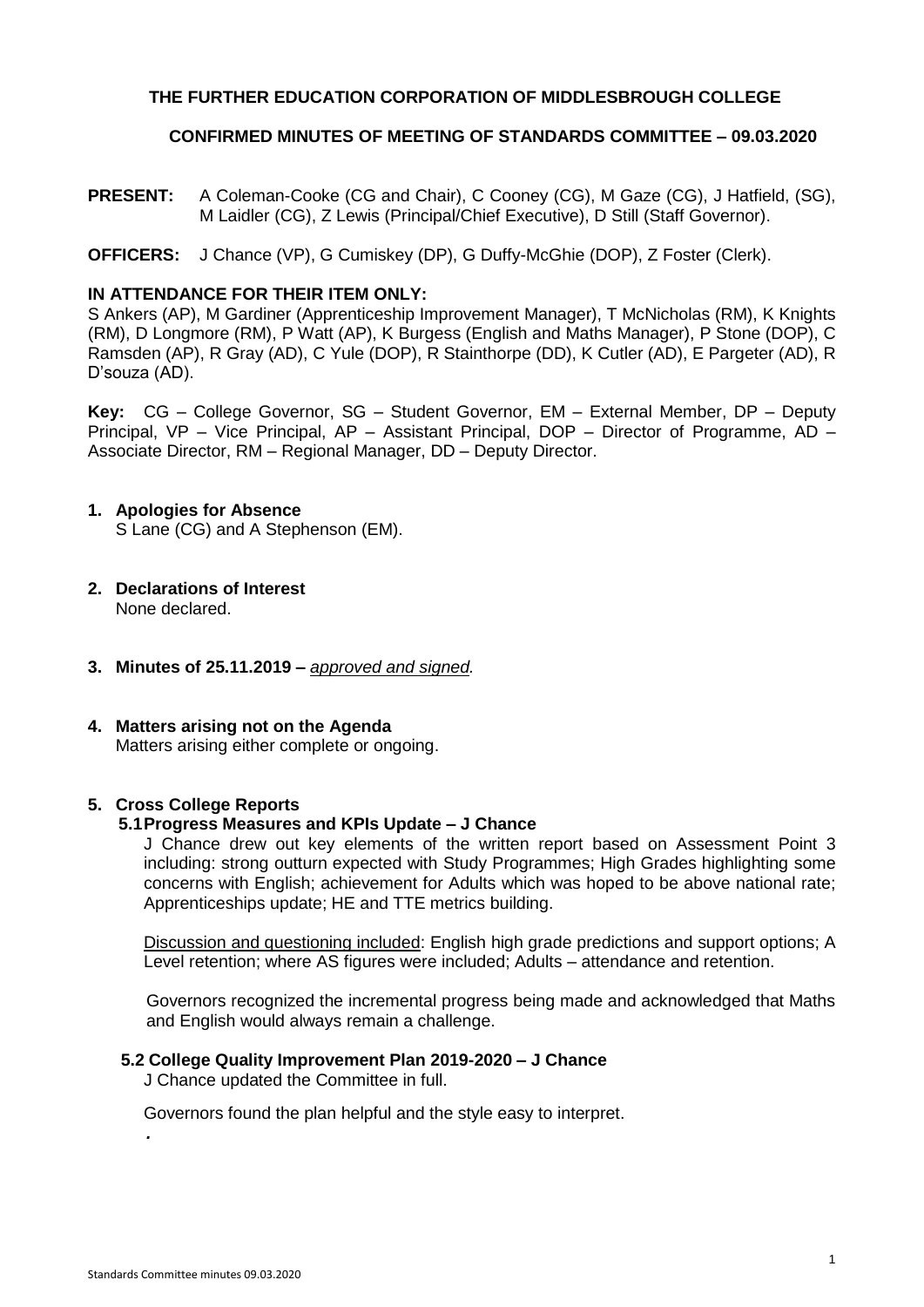# **THE FURTHER EDUCATION CORPORATION OF MIDDLESBROUGH COLLEGE**

### **CONFIRMED MINUTES OF MEETING OF STANDARDS COMMITTEE – 09.03.2020**

**PRESENT:** A Coleman-Cooke (CG and Chair), C Cooney (CG), M Gaze (CG), J Hatfield, (SG), M Laidler (CG), Z Lewis (Principal/Chief Executive), D Still (Staff Governor).

# **OFFICERS:** J Chance (VP), G Cumiskey (DP), G Duffy-McGhie (DOP), Z Foster (Clerk).

# **IN ATTENDANCE FOR THEIR ITEM ONLY:**

S Ankers (AP), M Gardiner (Apprenticeship Improvement Manager), T McNicholas (RM), K Knights (RM), D Longmore (RM), P Watt (AP), K Burgess (English and Maths Manager), P Stone (DOP), C Ramsden (AP), R Gray (AD), C Yule (DOP), R Stainthorpe (DD), K Cutler (AD), E Pargeter (AD), R D'souza (AD).

**Key:** CG – College Governor, SG – Student Governor, EM – External Member, DP – Deputy Principal, VP – Vice Principal, AP – Assistant Principal, DOP – Director of Programme, AD – Associate Director, RM – Regional Manager, DD – Deputy Director.

# **1. Apologies for Absence**

S Lane (CG) and A Stephenson (EM).

- **2. Declarations of Interest** None declared.
- **3. Minutes of 25.11.2019 –** *approved and signed.*

# **4. Matters arising not on the Agenda**

Matters arising either complete or ongoing.

#### **5. Cross College Reports**

# **5.1Progress Measures and KPIs Update – J Chance**

J Chance drew out key elements of the written report based on Assessment Point 3 including: strong outturn expected with Study Programmes; High Grades highlighting some concerns with English; achievement for Adults which was hoped to be above national rate; Apprenticeships update; HE and TTE metrics building.

Discussion and questioning included: English high grade predictions and support options; A Level retention; where AS figures were included; Adults – attendance and retention.

Governors recognized the incremental progress being made and acknowledged that Maths and English would always remain a challenge.

#### **5.2 College Quality Improvement Plan 2019-2020 – J Chance**

J Chance updated the Committee in full.

Governors found the plan helpful and the style easy to interpret.

*.*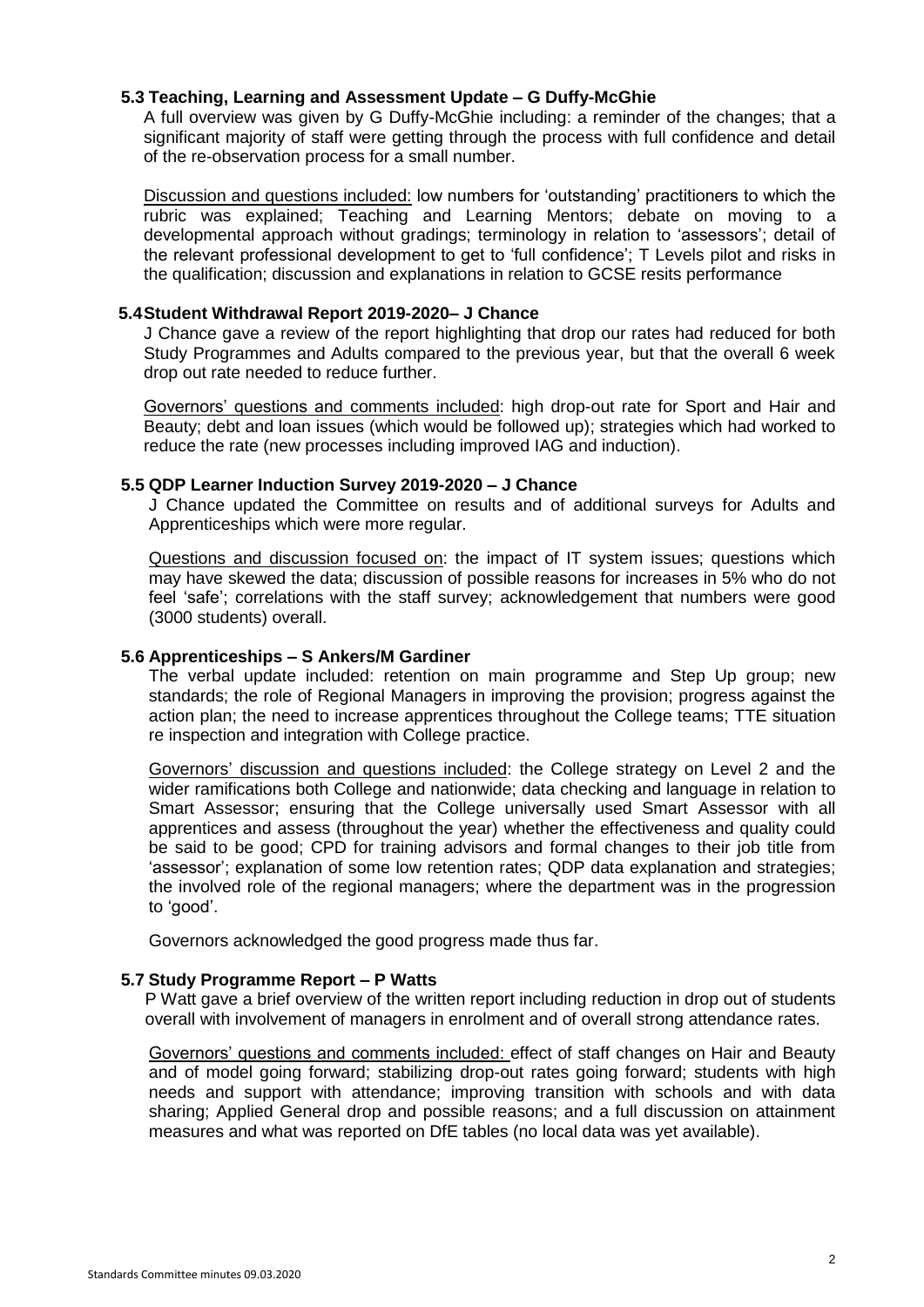## **5.3 Teaching, Learning and Assessment Update – G Duffy-McGhie**

A full overview was given by G Duffy-McGhie including: a reminder of the changes; that a significant majority of staff were getting through the process with full confidence and detail of the re-observation process for a small number.

Discussion and questions included: low numbers for 'outstanding' practitioners to which the rubric was explained; Teaching and Learning Mentors; debate on moving to a developmental approach without gradings; terminology in relation to 'assessors'; detail of the relevant professional development to get to 'full confidence'; T Levels pilot and risks in the qualification; discussion and explanations in relation to GCSE resits performance

### **5.4Student Withdrawal Report 2019-2020– J Chance**

J Chance gave a review of the report highlighting that drop our rates had reduced for both Study Programmes and Adults compared to the previous year, but that the overall 6 week drop out rate needed to reduce further.

Governors' questions and comments included: high drop-out rate for Sport and Hair and Beauty; debt and loan issues (which would be followed up); strategies which had worked to reduce the rate (new processes including improved IAG and induction).

## **5.5 QDP Learner Induction Survey 2019-2020 – J Chance**

J Chance updated the Committee on results and of additional surveys for Adults and Apprenticeships which were more regular.

Questions and discussion focused on: the impact of IT system issues; questions which may have skewed the data; discussion of possible reasons for increases in 5% who do not feel 'safe'; correlations with the staff survey; acknowledgement that numbers were good (3000 students) overall.

### **5.6 Apprenticeships – S Ankers/M Gardiner**

The verbal update included: retention on main programme and Step Up group; new standards; the role of Regional Managers in improving the provision; progress against the action plan; the need to increase apprentices throughout the College teams; TTE situation re inspection and integration with College practice.

Governors' discussion and questions included: the College strategy on Level 2 and the wider ramifications both College and nationwide; data checking and language in relation to Smart Assessor; ensuring that the College universally used Smart Assessor with all apprentices and assess (throughout the year) whether the effectiveness and quality could be said to be good; CPD for training advisors and formal changes to their job title from 'assessor'; explanation of some low retention rates; QDP data explanation and strategies; the involved role of the regional managers; where the department was in the progression to 'good'.

Governors acknowledged the good progress made thus far.

# **5.7 Study Programme Report – P Watts**

P Watt gave a brief overview of the written report including reduction in drop out of students overall with involvement of managers in enrolment and of overall strong attendance rates.

Governors' questions and comments included: effect of staff changes on Hair and Beauty and of model going forward; stabilizing drop-out rates going forward; students with high needs and support with attendance; improving transition with schools and with data sharing; Applied General drop and possible reasons; and a full discussion on attainment measures and what was reported on DfE tables (no local data was yet available).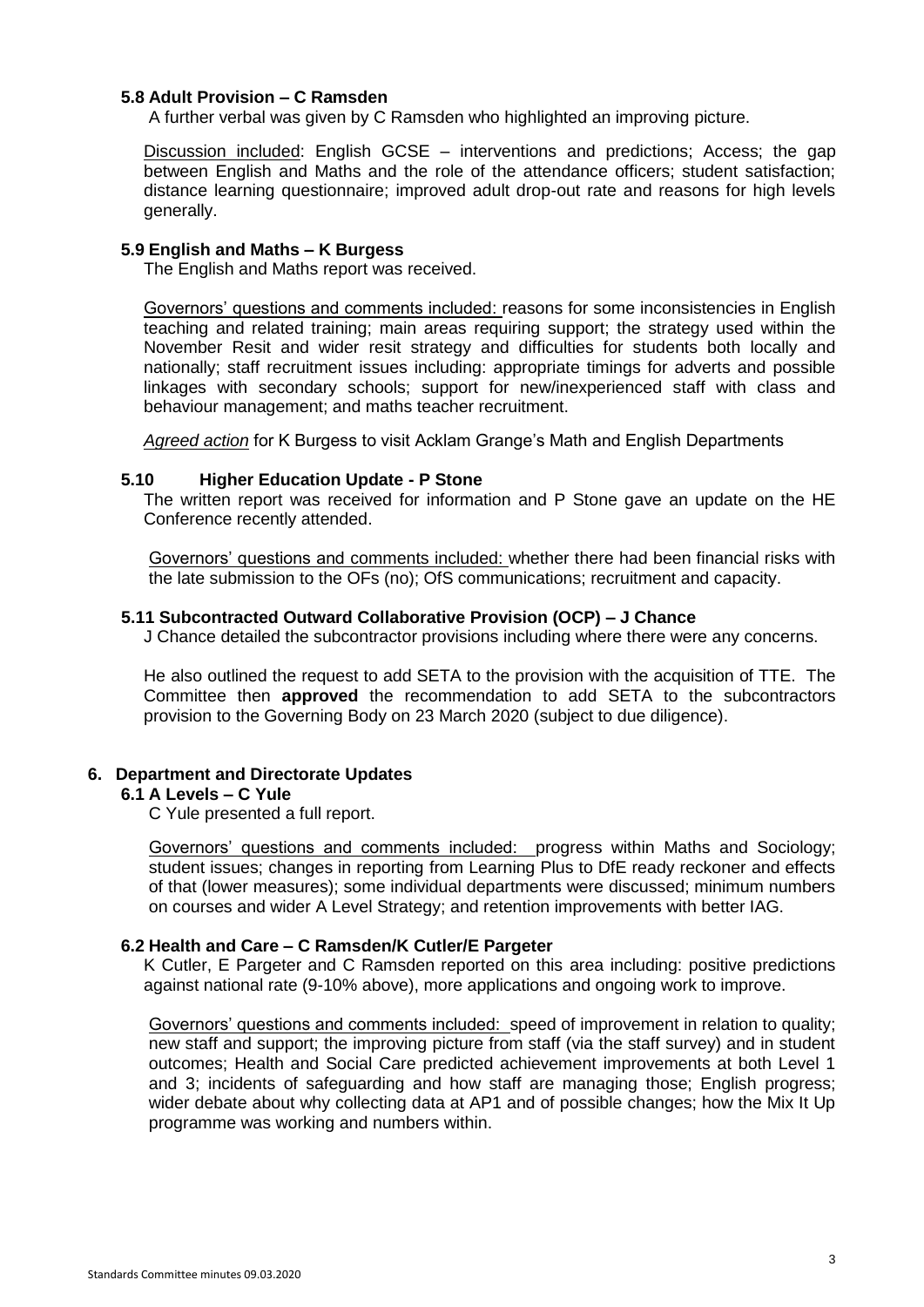# **5.8 Adult Provision – C Ramsden**

A further verbal was given by C Ramsden who highlighted an improving picture.

Discussion included: English GCSE – interventions and predictions; Access; the gap between English and Maths and the role of the attendance officers; student satisfaction; distance learning questionnaire; improved adult drop-out rate and reasons for high levels generally.

#### **5.9 English and Maths – K Burgess**

The English and Maths report was received.

Governors' questions and comments included: reasons for some inconsistencies in English teaching and related training; main areas requiring support; the strategy used within the November Resit and wider resit strategy and difficulties for students both locally and nationally; staff recruitment issues including: appropriate timings for adverts and possible linkages with secondary schools; support for new/inexperienced staff with class and behaviour management; and maths teacher recruitment.

*Agreed action* for K Burgess to visit Acklam Grange's Math and English Departments

#### **5.10 Higher Education Update - P Stone**

The written report was received for information and P Stone gave an update on the HE Conference recently attended.

Governors' questions and comments included: whether there had been financial risks with the late submission to the OFs (no); OfS communications; recruitment and capacity.

#### **5.11 Subcontracted Outward Collaborative Provision (OCP) – J Chance**

J Chance detailed the subcontractor provisions including where there were any concerns.

He also outlined the request to add SETA to the provision with the acquisition of TTE. The Committee then **approved** the recommendation to add SETA to the subcontractors provision to the Governing Body on 23 March 2020 (subject to due diligence).

# **6. Department and Directorate Updates**

## **6.1 A Levels – C Yule**

C Yule presented a full report.

Governors' questions and comments included: progress within Maths and Sociology; student issues; changes in reporting from Learning Plus to DfE ready reckoner and effects of that (lower measures); some individual departments were discussed; minimum numbers on courses and wider A Level Strategy; and retention improvements with better IAG.

#### **6.2 Health and Care – C Ramsden/K Cutler/E Pargeter**

K Cutler, E Pargeter and C Ramsden reported on this area including: positive predictions against national rate (9-10% above), more applications and ongoing work to improve.

Governors' questions and comments included: speed of improvement in relation to quality; new staff and support; the improving picture from staff (via the staff survey) and in student outcomes; Health and Social Care predicted achievement improvements at both Level 1 and 3; incidents of safeguarding and how staff are managing those; English progress; wider debate about why collecting data at AP1 and of possible changes; how the Mix It Up programme was working and numbers within.